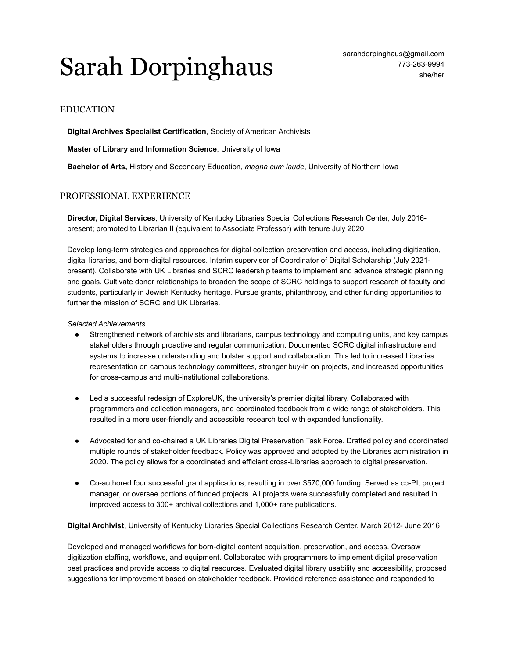# Sarah Dorpinghaus sarahdorpinghaus @gmail.com

# EDUCATION

**Digital Archives Specialist Certification**, Society of American Archivists

**Master of Library and Information Science**, University of Iowa

**Bachelor of Arts,** History and Secondary Education, *magna cum laude*, University of Northern Iowa

## PROFESSIONAL EXPERIENCE

**Director, Digital Services**, University of Kentucky Libraries Special Collections Research Center, July 2016 present; promoted to Librarian II (equivalent to Associate Professor) with tenure July 2020

Develop long-term strategies and approaches for digital collection preservation and access, including digitization, digital libraries, and born-digital resources. Interim supervisor of Coordinator of Digital Scholarship (July 2021 present). Collaborate with UK Libraries and SCRC leadership teams to implement and advance strategic planning and goals. Cultivate donor relationships to broaden the scope of SCRC holdings to support research of faculty and students, particularly in Jewish Kentucky heritage. Pursue grants, philanthropy, and other funding opportunities to further the mission of SCRC and UK Libraries.

## *Selected Achievements*

- Strengthened network of archivists and librarians, campus technology and computing units, and key campus stakeholders through proactive and regular communication. Documented SCRC digital infrastructure and systems to increase understanding and bolster support and collaboration. This led to increased Libraries representation on campus technology committees, stronger buy-in on projects, and increased opportunities for cross-campus and multi-institutional collaborations.
- Led a successful redesign of ExploreUK, the university's premier digital library. Collaborated with programmers and collection managers, and coordinated feedback from a wide range of stakeholders. This resulted in a more user-friendly and accessible research tool with expanded functionality.
- Advocated for and co-chaired a UK Libraries Digital Preservation Task Force. Drafted policy and coordinated multiple rounds of stakeholder feedback. Policy was approved and adopted by the Libraries administration in 2020. The policy allows for a coordinated and efficient cross-Libraries approach to digital preservation.
- Co-authored four successful grant applications, resulting in over \$570,000 funding. Served as co-PI, project manager, or oversee portions of funded projects. All projects were successfully completed and resulted in improved access to 300+ archival collections and 1,000+ rare publications.

**Digital Archivist**, University of Kentucky Libraries Special Collections Research Center, March 2012- June 2016

Developed and managed workflows for born-digital content acquisition, preservation, and access. Oversaw digitization staffing, workflows, and equipment. Collaborated with programmers to implement digital preservation best practices and provide access to digital resources. Evaluated digital library usability and accessibility, proposed suggestions for improvement based on stakeholder feedback. Provided reference assistance and responded to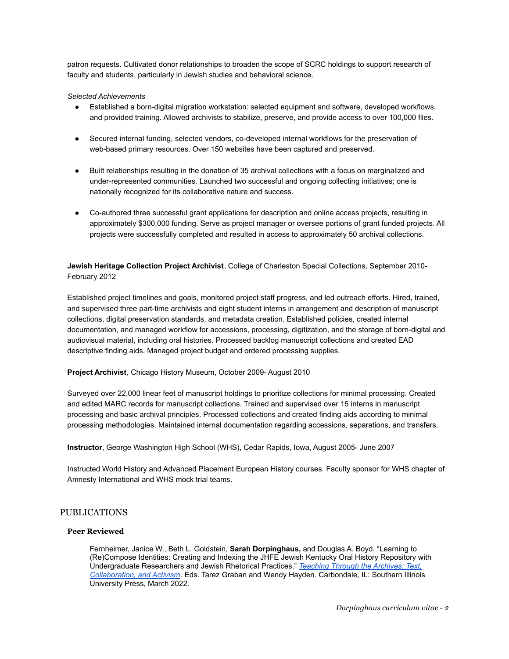patron requests. Cultivated donor relationships to broaden the scope of SCRC holdings to support research of faculty and students, particularly in Jewish studies and behavioral science.

## *Selected Achievements*

- Established a born-digital migration workstation: selected equipment and software, developed workflows, and provided training. Allowed archivists to stabilize, preserve, and provide access to over 100,000 files.
- Secured internal funding, selected vendors, co-developed internal workflows for the preservation of web-based primary resources. Over 150 websites have been captured and preserved.
- Built relationships resulting in the donation of 35 archival collections with a focus on marginalized and under-represented communities. Launched two successful and ongoing collecting initiatives; one is nationally recognized for its collaborative nature and success.
- Co-authored three successful grant applications for description and online access projects, resulting in approximately \$300,000 funding. Serve as project manager or oversee portions of grant funded projects. All projects were successfully completed and resulted in access to approximately 50 archival collections.

**Jewish Heritage Collection Project Archivist**, College of Charleston Special Collections, September 2010- February 2012

Established project timelines and goals, monitored project staff progress, and led outreach efforts. Hired, trained, and supervised three part-time archivists and eight student interns in arrangement and description of manuscript collections, digital preservation standards, and metadata creation. Established policies, created internal documentation, and managed workflow for accessions, processing, digitization, and the storage of born-digital and audiovisual material, including oral histories. Processed backlog manuscript collections and created EAD descriptive finding aids. Managed project budget and ordered processing supplies.

## **Project Archivist**, Chicago History Museum, October 2009- August 2010

Surveyed over 22,000 linear feet of manuscript holdings to prioritize collections for minimal processing. Created and edited MARC records for manuscript collections. Trained and supervised over 15 interns in manuscript processing and basic archival principles. Processed collections and created finding aids according to minimal processing methodologies. Maintained internal documentation regarding accessions, separations, and transfers.

**Instructor**, George Washington High School (WHS), Cedar Rapids, Iowa, August 2005- June 2007

Instructed World History and Advanced Placement European History courses. Faculty sponsor for WHS chapter of Amnesty International and WHS mock trial teams.

# PUBLICATIONS

## **Peer Reviewed**

Fernheimer, Janice W., Beth L. Goldstein, **Sarah Dorpinghaus,** and Douglas A. Boyd. "Learning to (Re)Compose Identities: Creating and Indexing the JHFE Jewish Kentucky Oral History Repository with Undergraduate Researchers and Jewish Rhetorical Practices." *[Teaching Through the Archives: Text,](http://www.siupress.com/books/978-0-8093-3857-3) [Collaboration, and Activism](http://www.siupress.com/books/978-0-8093-3857-3).* Eds. Tarez Graban and Wendy Hayden. Carbondale, IL: Southern Illinois University Press, March 2022.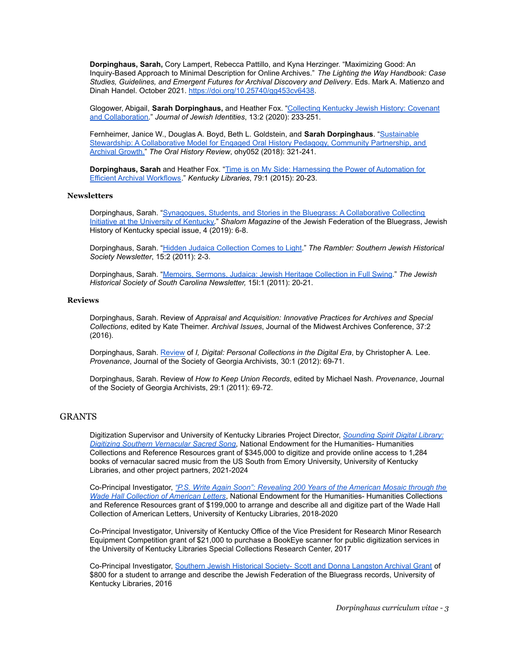**Dorpinghaus, Sarah,** Cory Lampert, Rebecca Pattillo, and Kyna Herzinger. "Maximizing Good: An Inquiry-Based Approach to Minimal Description for Online Archives." *The Lighting the Way Handbook: Case Studies, Guidelines, and Emergent Futures for Archival Discovery and Delivery*. Eds. Mark A. Matienzo and Dinah Handel. October 2021. <https://doi.org/10.25740/gg453cv6438>.

Glogower, Abigail, **Sarah Dorpinghaus,** and Heather Fox. ["Collecting Kentucky Jewish History: Covenant](https://muse.jhu.edu/article/770751) [and Collaboration.](https://muse.jhu.edu/article/770751)" *Journal of Jewish Identities*, 13:2 (2020): 233-251.

Fernheimer, Janice W., Douglas A. Boyd, Beth L. Goldstein, and **Sarah Dorpinghaus**. ["Sustainable](https://doi.org/10.1093/ohr/ohy052) [Stewardship: A Collaborative Model for Engaged Oral History Pedagogy, Community Partnership, and](https://doi.org/10.1093/ohr/ohy052) [Archival Growth.](https://doi.org/10.1093/ohr/ohy052)" *The Oral History Review*, ohy052 (2018): 321-241.

**Dorpinghaus, Sarah** and Heather Fox. "Time is on My [Side: Harnessing the Power of Automation for](https://uknowledge.uky.edu/libraries_facpub/245/) [Efficient Archival Workflows](https://uknowledge.uky.edu/libraries_facpub/245/)." *Kentucky Libraries*, 79:1 (2015): 20-23.

#### **Newsletters**

Dorpinghaus, Sarah. "Synagogues, Students, and Stories [in the Bluegrass: A Collaborative Collecting](https://issuu.com/jewishlexington/docs/shalom_spring_2019-web) [Initiative at the University of Kentucky.](https://issuu.com/jewishlexington/docs/shalom_spring_2019-web)" *Shalom Magazine* of the Jewish Federation of the Bluegrass, Jewish History of Kentucky special issue, 4 (2019): 6-8.

Dorpinghaus, Sarah. "[Hidden Judaica Collection Comes](https://www.jewishsouth.org/sites/default/files/rambler_vol_15_issue_2_-_web_version.pdf) to Light." *The Rambler: Southern Jewish Historical Society Newsletter*, 15:2 (2011): 2-3.

Dorpinghaus, Sarah. "[Memoirs, Sermons, Judaica: Jewish](http://jhssc.org/wp-content/uploads/2015/04/2011_Spring_JHSSC_Newsletter.pdf) Heritage Collection in Full Swing." *The Jewish Historical Society of South Carolina Newsletter,* 15I:1 (2011): 20-21.

#### **Reviews**

Dorpinghaus, Sarah. Review of *Appraisal and Acquisition: Innovative Practices for Archives and Special Collections*, edited by Kate Theimer. *Archival Issues*, Journal of the Midwest Archives Conference, 37:2 (2016).

Dorpinghaus, Sarah. [Review](https://uknowledge.uky.edu/libraries_facpub/281/) of *I, Digital: Personal Collections in the Digital Era*, by Christopher A. Lee. *Provenance*, Journal of the Society of Georgia Archivists, 30:1 (2012): 69-71.

Dorpinghaus, Sarah. Review of *How to Keep Union Records*, edited by Michael Nash. *Provenance*, Journal of the Society of Georgia Archivists, 29:1 (2011): 69-72.

## GRANTS

Digitization Supervisor and University of Kentucky Libraries Project Director, *[Sounding Spirit Digital](https://securegrants.neh.gov/publicquery/main.aspx?f=1&gn=PW-277494-21) Library: [Digitizing Southern Vernacular Sacred Song](https://securegrants.neh.gov/publicquery/main.aspx?f=1&gn=PW-277494-21)*, National Endowment for the Humanities- Humanities Collections and Reference Resources grant of \$345,000 to digitize and provide online access to 1,284 books of vernacular sacred music from the US South from Emory University, University of Kentucky Libraries, and other project partners, 2021-2024

Co-Principal Investigator, *"P.S. Write Again Soon": [Revealing 200 Years of the American Mosaic through the](https://securegrants.neh.gov/publicquery/main.aspx?f=1&gn=PW-259108-18) [Wade Hall Collection of American Letters](https://securegrants.neh.gov/publicquery/main.aspx?f=1&gn=PW-259108-18)*, National Endowment for the Humanities- Humanities Collections and Reference Resources grant of \$199,000 to arrange and describe all and digitize part of the Wade Hall Collection of American Letters, University of Kentucky Libraries, 2018-2020

Co-Principal Investigator, University of Kentucky Office of the Vice President for Research Minor Research Equipment Competition grant of \$21,000 to purchase a BookEye scanner for public digitization services in the University of Kentucky Libraries Special Collections Research Center, 2017

Co-Principal Investigator, Southern Jewish Historical [Society- Scott and Donna Langston Archival Grant](https://www.jewishsouth.org/sjhs-grants-applications) of \$800 for a student to arrange and describe the Jewish Federation of the Bluegrass records, University of Kentucky Libraries, 2016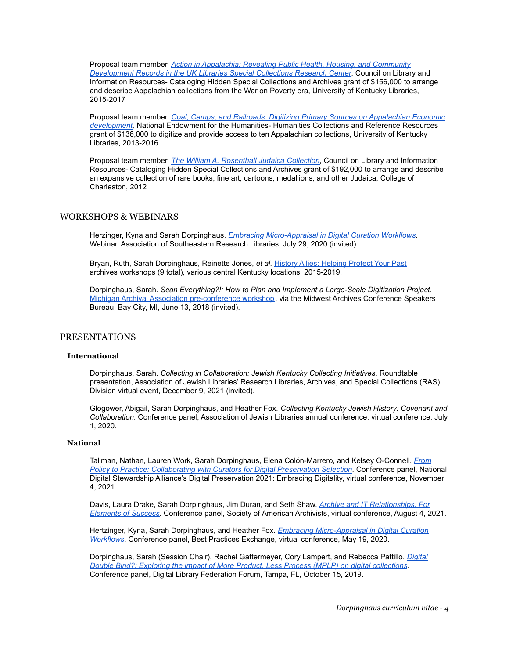Proposal team member, *[Action in Appalachia: Revealing Public Health, Housing, and Community](http://registry.clir.org/projects/12990371) [Development Records in the UK Libraries Special Collections Research Center](http://registry.clir.org/projects/12990371)*, Council on Library and Information Resources- Cataloging Hidden Special Collections and Archives grant of \$156,000 to arrange and describe Appalachian collections from the War on Poverty era, University of Kentucky Libraries, 2015-2017

Proposal team member, *Coal, Camps, and Railroads: [Digitizing Primary Sources on Appalachian Economic](https://securegrants.neh.gov/publicquery/main.aspx?f=1&gn=PW-51288-13) [development,](https://securegrants.neh.gov/publicquery/main.aspx?f=1&gn=PW-51288-13)* National Endowment for the Humanities- Humanities Collections and Reference Resources grant of \$136,000 to digitize and provide access to ten Appalachian collections, University of Kentucky Libraries, 2013-2016

Proposal team member, *[The William A. Rosenthall Judaica](http://registry.clir.org/projects/952) Collection*, Council on Library and Information Resources- Cataloging Hidden Special Collections and Archives grant of \$192,000 to arrange and describe an expansive collection of rare books, fine art, cartoons, medallions, and other Judaica, College of Charleston, 2012

## WORKSHOPS & WEBINARS

Herzinger, Kyna and Sarah Dorpinghaus. *Embracing Micro-Appraisal [in Digital Curation Workflows](https://uknowledge.uky.edu/libraries_present/225/)*. Webinar, Association of Southeastern Research Libraries, July 29, 2020 (invited).

Bryan, Ruth, Sarah Dorpinghaus, Reinette Jones, *et al.* [History Allies: Helping Protect Your Past](https://works.bepress.com/ruthbryan/29/) archives workshops (9 total), various central Kentucky locations, 2015-2019.

Dorpinghaus, Sarah. *Scan Everything?!: How to Plan and Implement a Large-Scale Digitization Project*. [Michigan Archival Association pre-conference workshop](https://miarchivists.wordpress.com/2018-annual-meeting/), via the Midwest Archives Conference Speakers Bureau, Bay City, MI, June 13, 2018 (invited).

## PRESENTATIONS

## **International**

Dorpinghaus, Sarah. *Collecting in Collaboration: Jewish Kentucky Collecting Initiatives*. Roundtable presentation, Association of Jewish Libraries' Research Libraries, Archives, and Special Collections (RAS) Division virtual event, December 9, 2021 (invited).

Glogower, Abigail, Sarah Dorpinghaus, and Heather Fox. *Collecting Kentucky Jewish History: Covenant and Collaboration*. Conference panel, Association of Jewish Libraries annual conference, virtual conference, July 1, 2020.

## **National**

Tallman, Nathan, Lauren Work, Sarah Dorpinghaus, Elena Colón-Marrero, and Kelsey O-Connell. *[From](https://osf.io/umabh/) [Policy to Practice: Collaborating with Curators for Digital Preservation Selection](https://osf.io/umabh/)*. Conference panel, National Digital Stewardship Alliance's Digital Preservation 2021: Embracing Digitality, virtual conference, November 4, 2021.

Davis, Laura Drake, Sarah Dorpinghaus, Jim Duran, and Seth Shaw. *[Archive and IT Relationships: For](https://archives2021.us2.pathable.com/meetings/virtual/FGkt3ZZLh9tkrL8xL) [Elements of Success](https://archives2021.us2.pathable.com/meetings/virtual/FGkt3ZZLh9tkrL8xL)*. Conference panel, Society of American Archivists, virtual conference, August 4, 2021.

Hertzinger, Kyna, Sarah Dorpinghaus, and Heather Fox. *[Embracing Micro-Appraisal in Digital Curation](https://bpexchange.files.wordpress.com/2020/05/2020_bpe_slides_kentucky.pdf) [Workflows](https://bpexchange.files.wordpress.com/2020/05/2020_bpe_slides_kentucky.pdf)*. Conference panel, Best Practices Exchange, virtual conference, May 19, 2020.

Dorpinghaus, Sarah (Session Chair), Rachel Gattermeyer, Cory Lampert, and Rebecca Pattillo. *[Digital](https://osf.io/q9hcf/) [Double Bind?: Exploring the impact of More Product, Less Process \(MPLP\) on digital collections](https://osf.io/q9hcf/)*. Conference panel, Digital Library Federation Forum, Tampa, FL, October 15, 2019.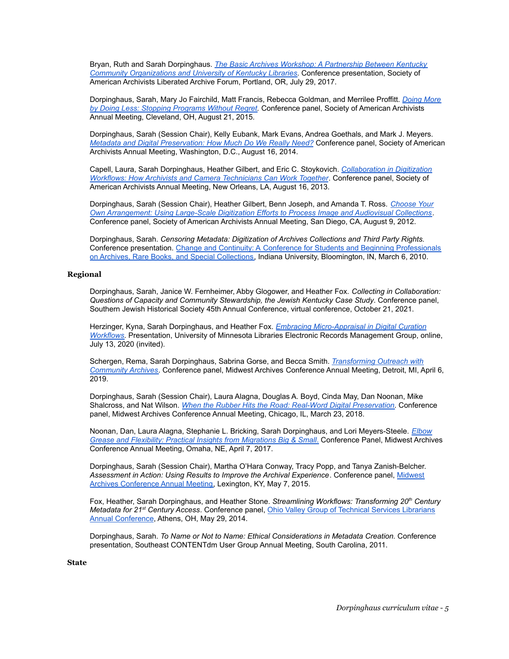Bryan, Ruth and Sarah Dorpinghaus. *[The Basic Archives Workshop: A Partnership Between Kentucky](https://uknowledge.uky.edu/libraries_present/184/) [Community Organizations and University of Kentucky Libraries](https://uknowledge.uky.edu/libraries_present/184/)*. Conference presentation, Society of American Archivists Liberated Archive Forum, Portland, OR, July 29, 2017.

Dorpinghaus, Sarah, Mary Jo Fairchild, Matt Francis, Rebecca Goldman, and Merrilee Proffitt. *[Doing More](https://archives2015.sched.com/event/338bbb1b4377ec9cefa252d0af7c17ad#.VbaxaflVhBc) [by Doing Less: Stopping Programs Without Regret.](https://archives2015.sched.com/event/338bbb1b4377ec9cefa252d0af7c17ad#.VbaxaflVhBc)* Conference panel, Society of American Archivists Annual Meeting, Cleveland, OH, August 21, 2015.

Dorpinghaus, Sarah (Session Chair), Kelly Eubank, Mark Evans, Andrea Goethals, and Mark J. Meyers. *[Metadata and Digital Preservation: How Much Do We Really Need?](https://archives2014.sched.com/event/1hIBSNj/session-602-metadata-and-digital-preservation-how-much-do-we-really-need)* Conference panel, Society of American Archivists Annual Meeting, Washington, D.C., August 16, 2014.

Capell, Laura, Sarah Dorpinghaus, Heather Gilbert, and Eric C. Stoykovich. *[Collaboration in Digitization](https://archives2013.sched.com/event/14m5309/session-409-collaboration-in-digitization-workflows-how-archivists-and-camera-technicians-can-work-together) [Workflows: How Archivists and Camera Technicians Can Work Together](https://archives2013.sched.com/event/14m5309/session-409-collaboration-in-digitization-workflows-how-archivists-and-camera-technicians-can-work-together)*. Conference panel, Society of American Archivists Annual Meeting, New Orleans, LA, August 16, 2013.

Dorpinghaus, Sarah (Session Chair), Heather Gilbert, Benn Joseph, and Amanda T. Ross. *[Choose Your](http://files.archivists.org/conference/sandiego2012/2012PrelimProg_web.pdf) [Own Arrangement: Using Large-Scale Digitization Efforts to Process Image and Audiovisual Collections](http://files.archivists.org/conference/sandiego2012/2012PrelimProg_web.pdf)*. Conference panel, Society of American Archivists Annual Meeting, San Diego, CA, August 9, 2012.

Dorpinghaus, Sarah. *Censoring Metadata: Digitization of Archives Collections and Third Party Rights.* Conference presentation. Change and Continuity: A [Conference for Students and Beginning Professionals](https://www.sice.indiana.edu/news/story.html?ils_id=2128) [on Archives, Rare Books, and Special Collections,](https://www.sice.indiana.edu/news/story.html?ils_id=2128) Indiana University, Bloomington, IN, March 6, 2010.

#### **Regional**

Dorpinghaus, Sarah, Janice W. Fernheimer, Abby Glogower, and Heather Fox. *Collecting in Collaboration: Questions of Capacity and Community Stewardship, the Jewish Kentucky Case Study*. Conference panel, Southern Jewish Historical Society 45th Annual Conference, virtual conference, October 21, 2021.

Herzinger, Kyna, Sarah Dorpinghaus, and Heather Fox. *[Embracing Micro-Appraisal in Digital Curation](https://bpexchange.files.wordpress.com/2020/05/2020_bpe_slides_kentucky.pdf) [Workflows](https://bpexchange.files.wordpress.com/2020/05/2020_bpe_slides_kentucky.pdf)*. Presentation, University of Minnesota Libraries Electronic Records Management Group, online, July 13, 2020 (invited).

Schergen, Rema, Sarah Dorpinghaus, Sabrina Gorse, and Becca Smith. *[Transforming Outreach with](https://sched.co/K8tO) [Community Archives](https://sched.co/K8tO)*. Conference panel, Midwest Archives Conference Annual Meeting, Detroit, MI, April 6, 2019.

Dorpinghaus, Sarah (Session Chair), Laura Alagna, Douglas A. Boyd, Cinda May, Dan Noonan, Mike Shalcross, and Nat Wilson. *When the Rubber Hits the [Road: Real-Word Digital Preservation](https://lib.dr.iastate.edu/macmeetings/2018/presentations/1/)*. Conference panel, Midwest Archives Conference Annual Meeting, Chicago, IL, March 23, 2018.

Noonan, Dan, Laura Alagna, Stephanie L. Bricking, Sarah Dorpinghaus, and Lori Meyers-Steele. *[Elbow](https://www.midwestarchives.org/ccboard/16605088_9e5de8dacfea0104d65b49bf971f5fe6.pdf) [Grease and Flexibility: Practical Insights from Migrations Big & Small](https://www.midwestarchives.org/ccboard/16605088_9e5de8dacfea0104d65b49bf971f5fe6.pdf)*. Conference Panel, Midwest Archives Conference Annual Meeting, Omaha, NE, April 7, 2017.

Dorpinghaus, Sarah (Session Chair), Martha O'Hara Conway, Tracy Popp, and Tanya Zanish-Belcher. *Assessment in Action: Using Results to Improve the Archival Experience*. Conference panel, [Midwest](https://midwestarc.memberclicks.net/assets/documents/MeetingPrograms/mac_springprogram_2015_final.pdf) [Archives Conference Annual Meeting,](https://midwestarc.memberclicks.net/assets/documents/MeetingPrograms/mac_springprogram_2015_final.pdf) Lexington, KY, May 7, 2015.

Fox, Heather, Sarah Dorpinghaus, and Heather Stone. *Streamlining Workflows: Transforming 20th Century Metadata for 21st Century Access*. Conference panel, [Ohio Valley Group of Technical Services Librarians](https://ovgtsl2014.wordpress.com/program/concurrent-sessions/) [Annual Conference](https://ovgtsl2014.wordpress.com/program/concurrent-sessions/), Athens, OH, May 29, 2014.

Dorpinghaus, Sarah. *To Name or Not to Name: Ethical Considerations in Metadata Creation.* Conference presentation, Southeast CONTENTdm User Group Annual Meeting, South Carolina, 2011.

## **State**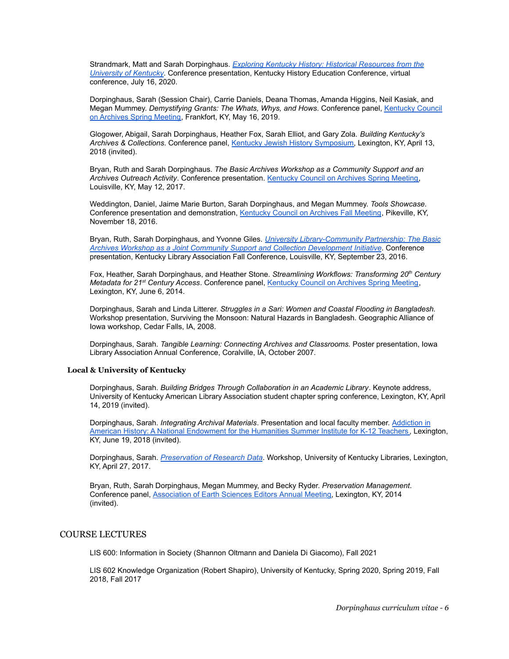Strandmark, Matt and Sarah Dorpinghaus. *[Exploring Kentucky History: Historical Resources from the](https://drive.google.com/drive/folders/1p6Yzzv2lXjb_TC0xT1mngORdfwugMnPS) [University of Kentucky](https://drive.google.com/drive/folders/1p6Yzzv2lXjb_TC0xT1mngORdfwugMnPS)*. Conference presentation, Kentucky History Education Conference, virtual conference, July 16, 2020.

Dorpinghaus, Sarah (Session Chair), Carrie Daniels, Deana Thomas, Amanda Higgins, Neil Kasiak, and Megan Mummey. *Demystifying Grants: The Whats, Whys, and Hows*. Conference panel, [Kentucky Council](https://www.kyarchivists.com/meetings/spring-2019-meeting/) [on Archives Spring Meeting](https://www.kyarchivists.com/meetings/spring-2019-meeting/), Frankfort, KY, May 16, 2019.

Glogower, Abigail, Sarah Dorpinghaus, Heather Fox, Sarah Elliot, and Gary Zola. *Building Kentucky's Archives & Collections*. Conference panel, Kentucky [Jewish History Symposium,](https://jewishstudies.as.uky.edu/kjhs-schedule) Lexington, KY, April 13, 2018 (invited).

Bryan, Ruth and Sarah Dorpinghaus. *The Basic Archives Workshop as a Community Support and an Archives Outreach Activity*. Conference presentation. [Kentucky Council on Archives Spring Meeting,](http://www.kyarchivists.com/meetings/spring-2017-meeting/) Louisville, KY, May 12, 2017.

Weddington, Daniel, Jaime Marie Burton, Sarah Dorpinghaus, and Megan Mummey. *Tools Showcase*. Conference presentation and demonstration, Kentucky [Council on Archives Fall Meeting](http://www.kyarchivists.com/meetings/fall-2016-meeting/), Pikeville, KY, November 18, 2016.

Bryan, Ruth, Sarah Dorpinghaus, and Yvonne Giles. *[University Library-Community Partnership: The Basic](https://uknowledge.uky.edu/libraries_present/164/) [Archives Workshop as a Joint Community Support and Collection Development Initiative](https://uknowledge.uky.edu/libraries_present/164/)*. Conference presentation, Kentucky Library Association Fall Conference, Louisville, KY, September 23, 2016.

Fox, Heather, Sarah Dorpinghaus, and Heather Stone. *Streamlining Workflows: Transforming 20th Century Metadata for 21st Century Access*. Conference panel, [Kentucky Council on Archives Spring Meeting,](http://www.kyarchivists.com/wp-content/uploads/2014/02/2014program.pdf) Lexington, KY, June 6, 2014.

Dorpinghaus, Sarah and Linda Litterer. *Struggles in a Sari: Women and Coastal Flooding in Bangladesh.* Workshop presentation, Surviving the Monsoon: Natural Hazards in Bangladesh. Geographic Alliance of Iowa workshop, Cedar Falls, IA, 2008.

Dorpinghaus, Sarah. *Tangible Learning: Connecting Archives and Classrooms.* Poster presentation, Iowa Library Association Annual Conference, Coralville, IA, October 2007.

#### **Local & University of Kentucky**

Dorpinghaus, Sarah. *Building Bridges Through Collaboration in an Academic Library*. Keynote address, University of Kentucky American Library Association student chapter spring conference, Lexington, KY, April 14, 2019 (invited).

Dorpinghaus, Sarah. *Integrating Archival Materials*. Presentation and local faculty member. [Addiction](https://sites.google.com/view/nehinstituteky/home?authuser=0) in [American History: A National Endowment for the Humanities Summer Institute for K-12 Teachers](https://sites.google.com/view/nehinstituteky/home?authuser=0), Lexington, KY, June 19, 2018 (invited).

Dorpinghaus, Sarah. *[Preservation of Research Data](https://uknowledge.uky.edu/rdsc_workshops/2017/Spring/6/)*. Workshop, University of Kentucky Libraries, Lexington, KY, April 27, 2017.

Bryan, Ruth, Sarah Dorpinghaus, Megan Mummey, and Becky Ryder. *Preservation Management*. Conference panel, [Association of Earth Sciences Editors](http://www.aese.org/AESE2014Program.pdf) Annual Meeting, Lexington, KY, 2014 (invited).

## COURSE LECTURES

LIS 600: Information in Society (Shannon Oltmann and Daniela Di Giacomo), Fall 2021

LIS 602 Knowledge Organization (Robert Shapiro), University of Kentucky, Spring 2020, Spring 2019, Fall 2018, Fall 2017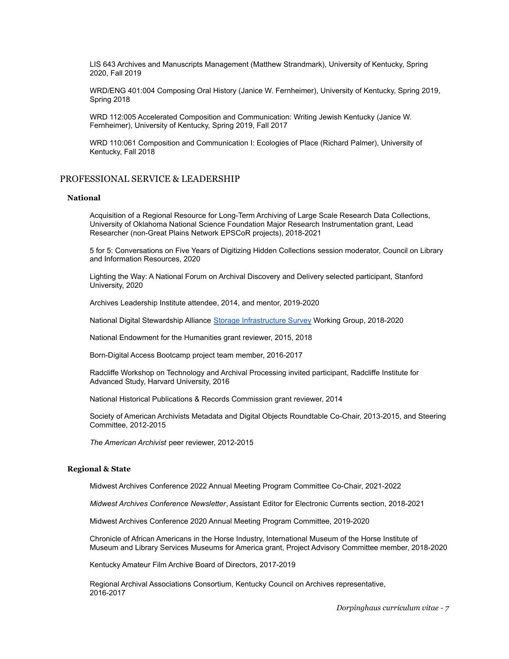LIS 643 Archives and Manuscripts Management (Matthew Strandmark), University of Kentucky, Spring 2020, Fall 2019

WRD/ENG 401:004 Composing Oral History (Janice W. Fernheimer), University of Kentucky, Spring 2019, Spring 2018

WRD 112:005 Accelerated Composition and Communication: Writing Jewish Kentucky (Janice W. Fernheimer), University of Kentucky, Spring 2019, Fall 2017

WRD 110:061 Composition and Communication I: Ecologies of Place (Richard Palmer), University of Kentucky, Fall 2018

## PROFESSIONAL SERVICE & LEADERSHIP

#### **National**

Acquisition of a Regional Resource for Long-Term Archiving of Large Scale Research Data Collections, University of Oklahoma National Science Foundation Major Research Instrumentation grant, Lead Researcher (non-Great Plains Network EPSCoR projects), 2018-2021

5 for 5: Conversations on Five Years of Digitizing Hidden Collections session moderator, Council on Library and Information Resources, 2020

Lighting the Way: A National Forum on Archival Discovery and Delivery selected participant, Stanford University, 2020

Archives Leadership Institute attendee, 2014, and mentor, 2019-2020

National Digital Stewardship Alliance [Storage Infrastructure](https://osf.io/md63a/) Survey Working Group, 2018-2020

National Endowment for the Humanities grant reviewer, 2015, 2018

Born-Digital Access Bootcamp project team member, 2016-2017

Radcliffe Workshop on Technology and Archival Processing invited participant, Radcliffe Institute for Advanced Study, Harvard University, 2016

National Historical Publications & Records Commission grant reviewer, 2014

Society of American Archivists Metadata and Digital Objects Roundtable Co-Chair, 2013-2015, and Steering Committee, 2012-2015

*The American Archivist* peer reviewer, 2012-2015

## **Regional & State**

Midwest Archives Conference 2022 Annual Meeting Program Committee Co-Chair, 2021-2022

*Midwest Archives Conference Newsletter*, Assistant Editor for Electronic Currents section, 2018-2021

Midwest Archives Conference 2020 Annual Meeting Program Committee, 2019-2020

Chronicle of African Americans in the Horse Industry, International Museum of the Horse Institute of Museum and Library Services Museums for America grant, Project Advisory Committee member, 2018-2020

Kentucky Amateur Film Archive Board of Directors, 2017-2019

Regional Archival Associations Consortium, Kentucky Council on Archives representative, 2016-2017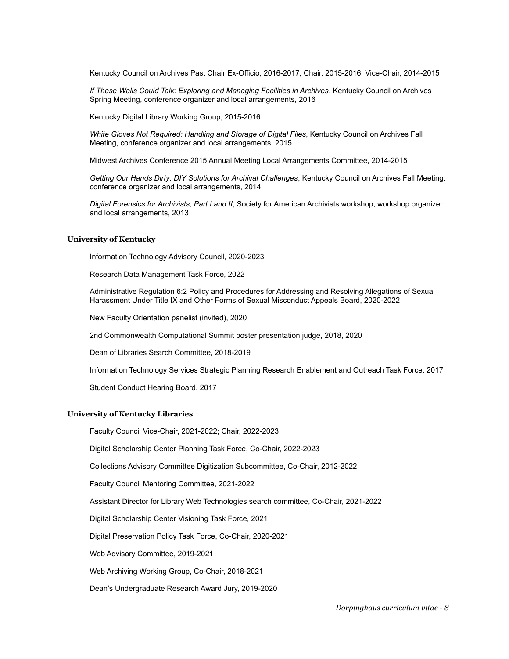Kentucky Council on Archives Past Chair Ex-Officio, 2016-2017; Chair, 2015-2016; Vice-Chair, 2014-2015

*If These Walls Could Talk: Exploring and Managing Facilities in Archives*, Kentucky Council on Archives Spring Meeting, conference organizer and local arrangements, 2016

Kentucky Digital Library Working Group, 2015-2016

*White Gloves Not Required: Handling and Storage of Digital Files*, Kentucky Council on Archives Fall Meeting, conference organizer and local arrangements, 2015

Midwest Archives Conference 2015 Annual Meeting Local Arrangements Committee, 2014-2015

*Getting Our Hands Dirty: DIY Solutions for Archival Challenges*, Kentucky Council on Archives Fall Meeting, conference organizer and local arrangements, 2014

*Digital Forensics for Archivists, Part I and II*, Society for American Archivists workshop, workshop organizer and local arrangements, 2013

#### **University of Kentucky**

Information Technology Advisory Council, 2020-2023

Research Data Management Task Force, 2022

Administrative Regulation 6:2 Policy and Procedures for Addressing and Resolving Allegations of Sexual Harassment Under Title IX and Other Forms of Sexual Misconduct Appeals Board, 2020-2022

New Faculty Orientation panelist (invited), 2020

2nd Commonwealth Computational Summit poster presentation judge, 2018, 2020

Dean of Libraries Search Committee, 2018-2019

Information Technology Services Strategic Planning Research Enablement and Outreach Task Force, 2017

Student Conduct Hearing Board, 2017

#### **University of Kentucky Libraries**

Faculty Council Vice-Chair, 2021-2022; Chair, 2022-2023

Digital Scholarship Center Planning Task Force, Co-Chair, 2022-2023

Collections Advisory Committee Digitization Subcommittee, Co-Chair, 2012-2022

Faculty Council Mentoring Committee, 2021-2022

Assistant Director for Library Web Technologies search committee, Co-Chair, 2021-2022

Digital Scholarship Center Visioning Task Force, 2021

Digital Preservation Policy Task Force, Co-Chair, 2020-2021

Web Advisory Committee, 2019-2021

Web Archiving Working Group, Co-Chair, 2018-2021

Dean's Undergraduate Research Award Jury, 2019-2020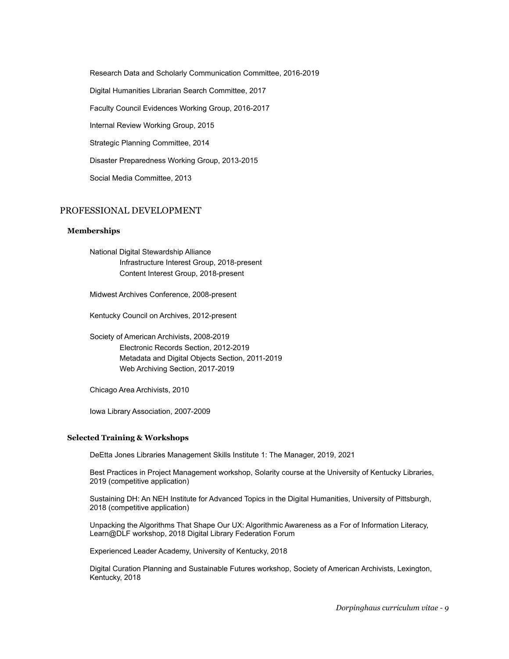Research Data and Scholarly Communication Committee, 2016-2019 Digital Humanities Librarian Search Committee, 2017 Faculty Council Evidences Working Group, 2016-2017 Internal Review Working Group, 2015 Strategic Planning Committee, 2014 Disaster Preparedness Working Group, 2013-2015 Social Media Committee, 2013

## PROFESSIONAL DEVELOPMENT

#### **Memberships**

National Digital Stewardship Alliance Infrastructure Interest Group, 2018-present Content Interest Group, 2018-present

Midwest Archives Conference, 2008-present

Kentucky Council on Archives, 2012-present

Society of American Archivists, 2008-2019 Electronic Records Section, 2012-2019 Metadata and Digital Objects Section, 2011-2019 Web Archiving Section, 2017-2019

Chicago Area Archivists, 2010

Iowa Library Association, 2007-2009

#### **Selected Training & Workshops**

DeEtta Jones Libraries Management Skills Institute 1: The Manager, 2019, 2021

Best Practices in Project Management workshop, Solarity course at the University of Kentucky Libraries, 2019 (competitive application)

Sustaining DH: An NEH Institute for Advanced Topics in the Digital Humanities, University of Pittsburgh, 2018 (competitive application)

Unpacking the Algorithms That Shape Our UX: Algorithmic Awareness as a For of Information Literacy, Learn@DLF workshop, 2018 Digital Library Federation Forum

Experienced Leader Academy, University of Kentucky, 2018

Digital Curation Planning and Sustainable Futures workshop, Society of American Archivists, Lexington, Kentucky, 2018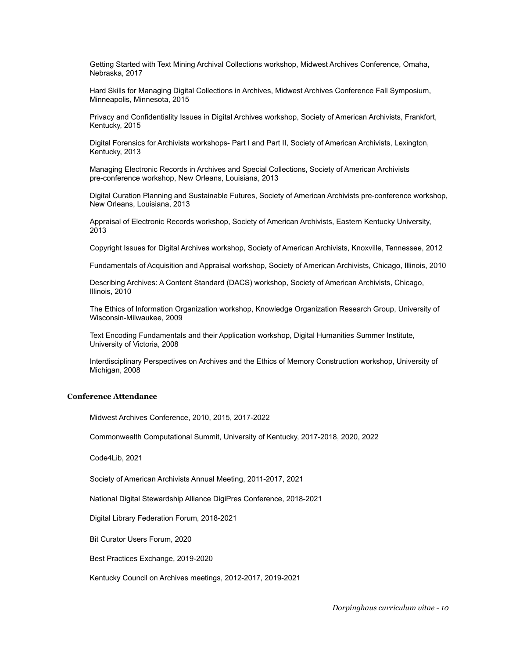Getting Started with Text Mining Archival Collections workshop, Midwest Archives Conference, Omaha, Nebraska, 2017

Hard Skills for Managing Digital Collections in Archives, Midwest Archives Conference Fall Symposium, Minneapolis, Minnesota, 2015

Privacy and Confidentiality Issues in Digital Archives workshop, Society of American Archivists, Frankfort, Kentucky, 2015

Digital Forensics for Archivists workshops- Part I and Part II, Society of American Archivists, Lexington, Kentucky, 2013

Managing Electronic Records in Archives and Special Collections, Society of American Archivists pre-conference workshop, New Orleans, Louisiana, 2013

Digital Curation Planning and Sustainable Futures, Society of American Archivists pre-conference workshop, New Orleans, Louisiana, 2013

Appraisal of Electronic Records workshop, Society of American Archivists, Eastern Kentucky University, 2013

Copyright Issues for Digital Archives workshop, Society of American Archivists, Knoxville, Tennessee, 2012

Fundamentals of Acquisition and Appraisal workshop, Society of American Archivists, Chicago, Illinois, 2010

Describing Archives: A Content Standard (DACS) workshop, Society of American Archivists, Chicago, Illinois, 2010

The Ethics of Information Organization workshop, Knowledge Organization Research Group, University of Wisconsin-Milwaukee, 2009

Text Encoding Fundamentals and their Application workshop, Digital Humanities Summer Institute, University of Victoria, 2008

Interdisciplinary Perspectives on Archives and the Ethics of Memory Construction workshop, University of Michigan, 2008

## **Conference Attendance**

Midwest Archives Conference, 2010, 2015, 2017-2022

Commonwealth Computational Summit, University of Kentucky, 2017-2018, 2020, 2022

Code4Lib, 2021

Society of American Archivists Annual Meeting, 2011-2017, 2021

National Digital Stewardship Alliance DigiPres Conference, 2018-2021

Digital Library Federation Forum, 2018-2021

Bit Curator Users Forum, 2020

Best Practices Exchange, 2019-2020

Kentucky Council on Archives meetings, 2012-2017, 2019-2021